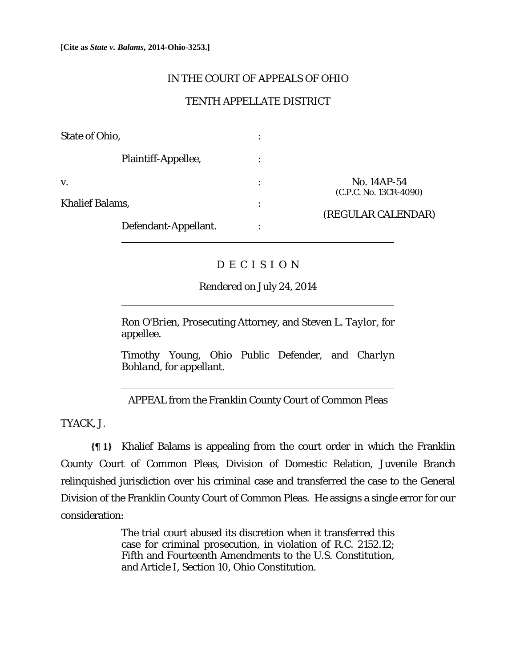## IN THE COURT OF APPEALS OF OHIO

## TENTH APPELLATE DISTRICT

| <b>State of Ohio,</b>  | ٠<br>$\bullet$ |                                                             |
|------------------------|----------------|-------------------------------------------------------------|
| Plaintiff-Appellee,    | ٠<br>$\bullet$ |                                                             |
| V.                     | ٠              | No. 14AP-54<br>(C.P.C. No. 13CR-4090)<br>(REGULAR CALENDAR) |
| <b>Khalief Balams,</b> | ٠              |                                                             |
| Defendant-Appellant.   | ٠              |                                                             |

## D E C I S I O N

Rendered on July 24, 2014

*Ron O'Brien*, Prosecuting Attorney, and *Steven L. Taylor*, for appellee.

*Timothy Young*, Ohio Public Defender, and *Charlyn Bohland*, for appellant.

APPEAL from the Franklin County Court of Common Pleas

TYACK, J.

 $\overline{a}$ 

**{¶ 1}** Khalief Balams is appealing from the court order in which the Franklin County Court of Common Pleas, Division of Domestic Relation, Juvenile Branch relinquished jurisdiction over his criminal case and transferred the case to the General Division of the Franklin County Court of Common Pleas. He assigns a single error for our consideration:

> The trial court abused its discretion when it transferred this case for criminal prosecution, in violation of R.C. 2152.12; Fifth and Fourteenth Amendments to the U.S. Constitution, and Article I, Section 10, Ohio Constitution.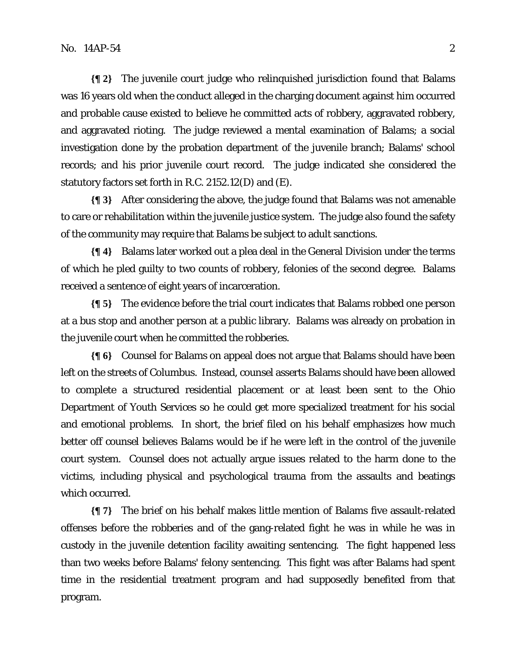**{¶ 2}** The juvenile court judge who relinquished jurisdiction found that Balams was 16 years old when the conduct alleged in the charging document against him occurred and probable cause existed to believe he committed acts of robbery, aggravated robbery, and aggravated rioting. The judge reviewed a mental examination of Balams; a social investigation done by the probation department of the juvenile branch; Balams' school records; and his prior juvenile court record. The judge indicated she considered the statutory factors set forth in R.C. 2152.12(D) and (E).

**{¶ 3}** After considering the above, the judge found that Balams was not amenable to care or rehabilitation within the juvenile justice system. The judge also found the safety of the community may require that Balams be subject to adult sanctions.

**{¶ 4}** Balams later worked out a plea deal in the General Division under the terms of which he pled guilty to two counts of robbery, felonies of the second degree. Balams received a sentence of eight years of incarceration.

**{¶ 5}** The evidence before the trial court indicates that Balams robbed one person at a bus stop and another person at a public library. Balams was already on probation in the juvenile court when he committed the robberies.

**{¶ 6}** Counsel for Balams on appeal does not argue that Balams should have been left on the streets of Columbus. Instead, counsel asserts Balams should have been allowed to complete a structured residential placement or at least been sent to the Ohio Department of Youth Services so he could get more specialized treatment for his social and emotional problems. In short, the brief filed on his behalf emphasizes how much better off counsel believes Balams would be if he were left in the control of the juvenile court system. Counsel does not actually argue issues related to the harm done to the victims, including physical and psychological trauma from the assaults and beatings which occurred.

**{¶ 7}** The brief on his behalf makes little mention of Balams five assault-related offenses before the robberies and of the gang-related fight he was in while he was in custody in the juvenile detention facility awaiting sentencing. The fight happened less than two weeks before Balams' felony sentencing. This fight was after Balams had spent time in the residential treatment program and had supposedly benefited from that program.